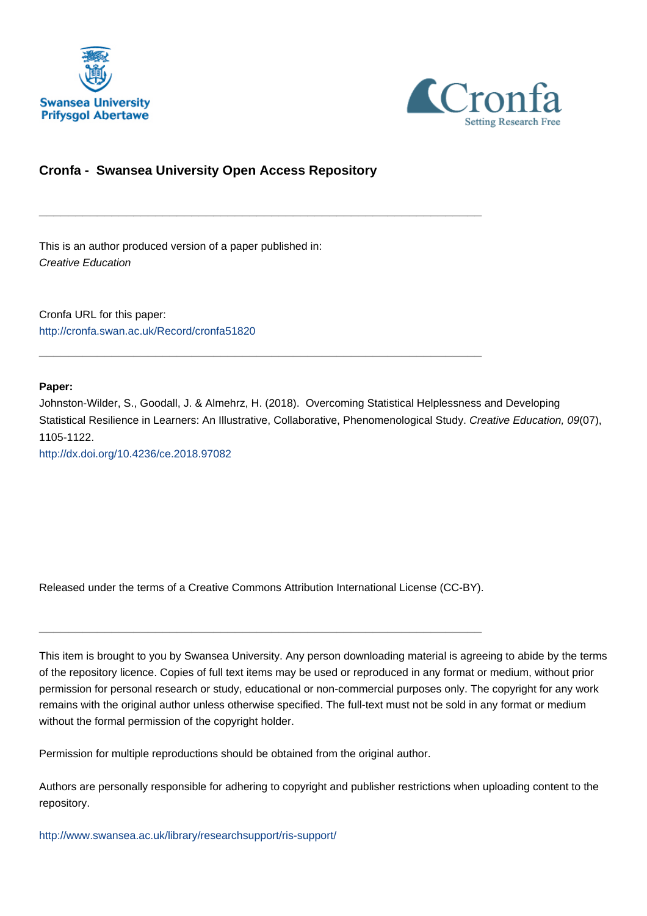



## **Cronfa - Swansea University Open Access Repository**

\_\_\_\_\_\_\_\_\_\_\_\_\_\_\_\_\_\_\_\_\_\_\_\_\_\_\_\_\_\_\_\_\_\_\_\_\_\_\_\_\_\_\_\_\_\_\_\_\_\_\_\_\_\_\_\_\_\_\_\_\_

\_\_\_\_\_\_\_\_\_\_\_\_\_\_\_\_\_\_\_\_\_\_\_\_\_\_\_\_\_\_\_\_\_\_\_\_\_\_\_\_\_\_\_\_\_\_\_\_\_\_\_\_\_\_\_\_\_\_\_\_\_

This is an author produced version of a paper published in: Creative Education

Cronfa URL for this paper: <http://cronfa.swan.ac.uk/Record/cronfa51820>

**Paper:**

Johnston-Wilder, S., Goodall, J. & Almehrz, H. (2018). Overcoming Statistical Helplessness and Developing Statistical Resilience in Learners: An Illustrative, Collaborative, Phenomenological Study. Creative Education, 09(07), 1105-1122.

<http://dx.doi.org/10.4236/ce.2018.97082>

Released under the terms of a Creative Commons Attribution International License (CC-BY).

\_\_\_\_\_\_\_\_\_\_\_\_\_\_\_\_\_\_\_\_\_\_\_\_\_\_\_\_\_\_\_\_\_\_\_\_\_\_\_\_\_\_\_\_\_\_\_\_\_\_\_\_\_\_\_\_\_\_\_\_\_

This item is brought to you by Swansea University. Any person downloading material is agreeing to abide by the terms of the repository licence. Copies of full text items may be used or reproduced in any format or medium, without prior permission for personal research or study, educational or non-commercial purposes only. The copyright for any work remains with the original author unless otherwise specified. The full-text must not be sold in any format or medium without the formal permission of the copyright holder.

Permission for multiple reproductions should be obtained from the original author.

Authors are personally responsible for adhering to copyright and publisher restrictions when uploading content to the repository.

[http://www.swansea.ac.uk/library/researchsupport/ris-support/](http://www.swansea.ac.uk/library/researchsupport/ris-support/ )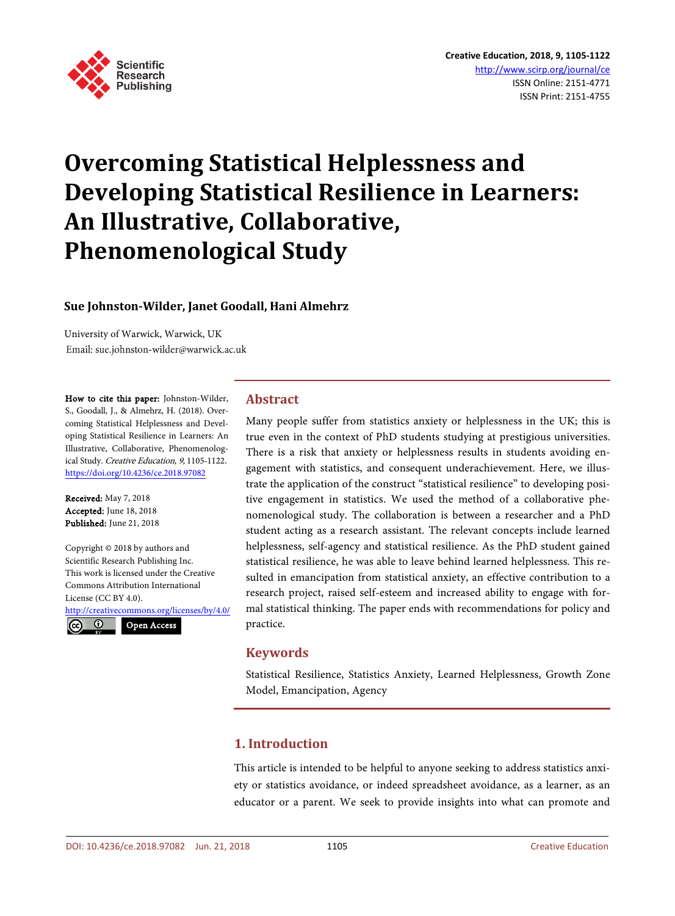

# **Overcoming Statistical Helplessness and Developing Statistical Resilience in Learners: An Illustrative, Collaborative, Phenomenological Study**

## **Sue Johnston-Wilder, Janet Goodall, Hani Almehrz**

University of Warwick, Warwick, UK Email: sue.johnston-wilder@warwick.ac.uk

How to cite this paper: Johnston-Wilder, S., Goodall, J., & Almehrz, H. (2018). Overcoming Statistical Helplessness and Developing Statistical Resilience in Learners: An Illustrative, Collaborative, Phenomenological Study. Creative Education, 9, 1105-1122. https://doi.org/10.4236/ce.2018.97082

Received: May 7, 2018 Accepted: June 18, 2018 Published: June 21, 2018

Copyright © 2018 by authors and Scientific Research Publishing Inc. This work is licensed under the Creative Commons Attribution International License (CC BY 4.0).

http://creativecommons.org/licenses/by/4.0/  $\odot$  $(cc)$ Open Access

## **Abstract**

Many people suffer from statistics anxiety or helplessness in the UK; this is true even in the context of PhD students studying at prestigious universities. There is a risk that anxiety or helplessness results in students avoiding engagement with statistics, and consequent underachievement. Here, we illustrate the application of the construct "statistical resilience" to developing positive engagement in statistics. We used the method of a collaborative phenomenological study. The collaboration is between a researcher and a PhD student acting as a research assistant. The relevant concepts include learned helplessness, self-agency and statistical resilience. As the PhD student gained statistical resilience, he was able to leave behind learned helplessness. This resulted in emancipation from statistical anxiety, an effective contribution to a research project, raised self-esteem and increased ability to engage with formal statistical thinking. The paper ends with recommendations for policy and practice.

## **Keywords**

Statistical Resilience, Statistics Anxiety, Learned Helplessness, Growth Zone Model, Emancipation, Agency

## **1. Introduction**

This article is intended to be helpful to anyone seeking to address statistics anxiety or statistics avoidance, or indeed spreadsheet avoidance, as a learner, as an educator or a parent. We seek to provide insights into what can promote and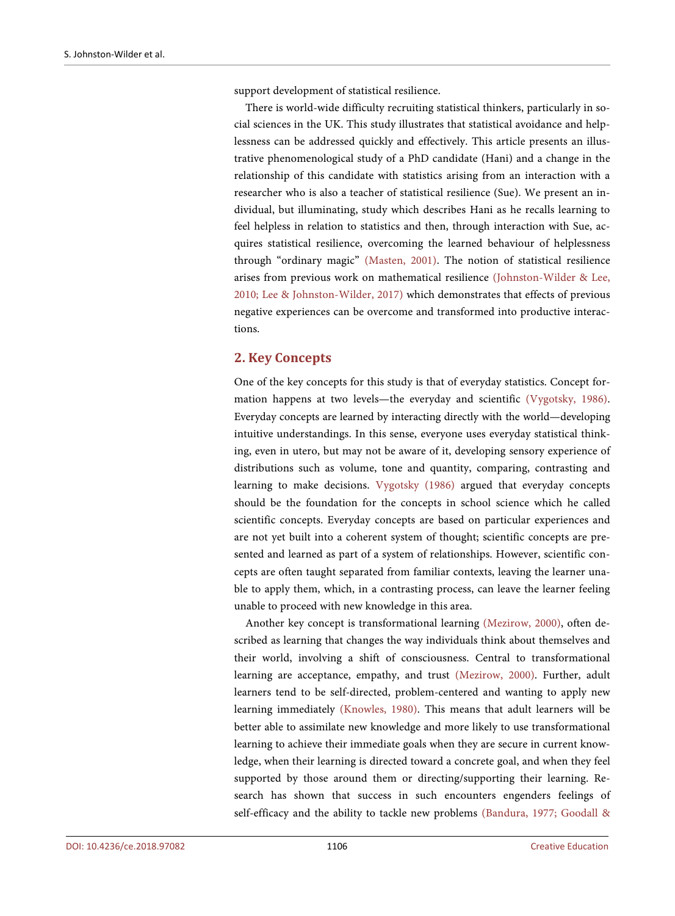support development of statistical resilience.

There is world-wide difficulty recruiting statistical thinkers, particularly in social sciences in the UK. This study illustrates that statistical avoidance and helplessness can be addressed quickly and effectively. This article presents an illustrative phenomenological study of a PhD candidate (Hani) and a change in the relationship of this candidate with statistics arising from an interaction with a researcher who is also a teacher of statistical resilience (Sue). We present an individual, but illuminating, study which describes Hani as he recalls learning to feel helpless in relation to statistics and then, through interaction with Sue, acquires statistical resilience, overcoming the learned behaviour of helplessness through "ordinary magic" (Masten, 2001). The notion of statistical resilience arises from previous work on mathematical resilience (Johnston-Wilder & Lee, 2010; Lee & Johnston-Wilder, 2017) which demonstrates that effects of previous negative experiences can be overcome and transformed into productive interactions.

## **2. Key Concepts**

One of the key concepts for this study is that of everyday statistics. Concept formation happens at two levels—the everyday and scientific (Vygotsky, 1986). Everyday concepts are learned by interacting directly with the world—developing intuitive understandings. In this sense, everyone uses everyday statistical thinking, even in utero, but may not be aware of it, developing sensory experience of distributions such as volume, tone and quantity, comparing, contrasting and learning to make decisions. Vygotsky (1986) argued that everyday concepts should be the foundation for the concepts in school science which he called scientific concepts. Everyday concepts are based on particular experiences and are not yet built into a coherent system of thought; scientific concepts are presented and learned as part of a system of relationships. However, scientific concepts are often taught separated from familiar contexts, leaving the learner unable to apply them, which, in a contrasting process, can leave the learner feeling unable to proceed with new knowledge in this area.

Another key concept is transformational learning (Mezirow, 2000), often described as learning that changes the way individuals think about themselves and their world, involving a shift of consciousness. Central to transformational learning are acceptance, empathy, and trust (Mezirow, 2000). Further, adult learners tend to be self-directed, problem-centered and wanting to apply new learning immediately (Knowles, 1980). This means that adult learners will be better able to assimilate new knowledge and more likely to use transformational learning to achieve their immediate goals when they are secure in current knowledge, when their learning is directed toward a concrete goal, and when they feel supported by those around them or directing/supporting their learning. Research has shown that success in such encounters engenders feelings of self-efficacy and the ability to tackle new problems (Bandura, 1977; Goodall &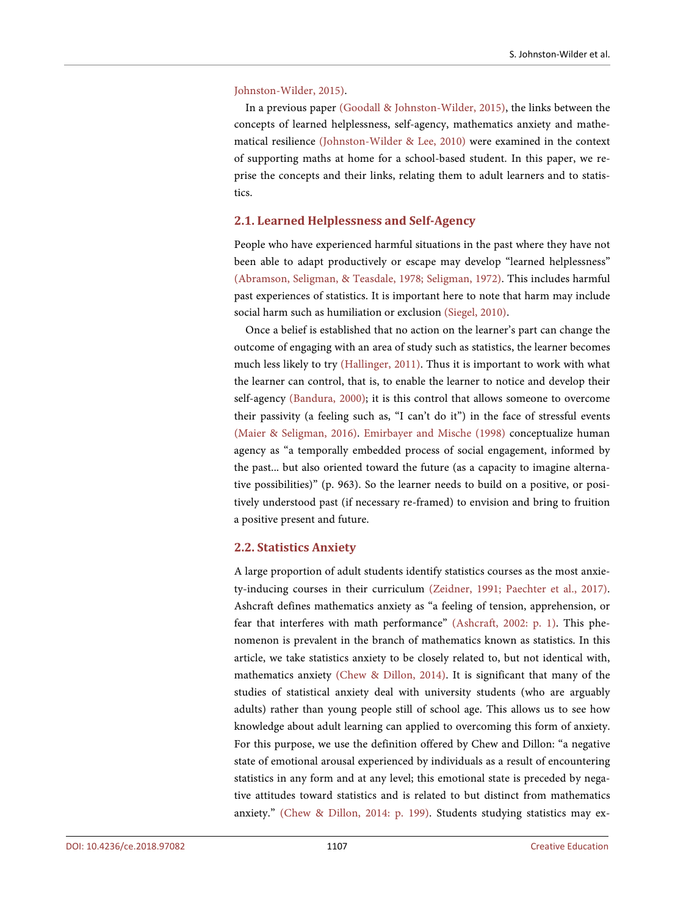#### Johnston-Wilder, 2015).

In a previous paper (Goodall & Johnston-Wilder, 2015), the links between the concepts of learned helplessness, self-agency, mathematics anxiety and mathematical resilience (Johnston-Wilder & Lee, 2010) were examined in the context of supporting maths at home for a school-based student. In this paper, we reprise the concepts and their links, relating them to adult learners and to statistics.

## **2.1. Learned Helplessness and Self-Agency**

People who have experienced harmful situations in the past where they have not been able to adapt productively or escape may develop "learned helplessness" (Abramson, Seligman, & Teasdale, 1978; Seligman, 1972). This includes harmful past experiences of statistics. It is important here to note that harm may include social harm such as humiliation or exclusion (Siegel, 2010).

Once a belief is established that no action on the learner's part can change the outcome of engaging with an area of study such as statistics, the learner becomes much less likely to try (Hallinger, 2011). Thus it is important to work with what the learner can control, that is, to enable the learner to notice and develop their self-agency (Bandura, 2000); it is this control that allows someone to overcome their passivity (a feeling such as, "I can't do it") in the face of stressful events (Maier & Seligman, 2016). Emirbayer and Mische (1998) conceptualize human agency as "a temporally embedded process of social engagement, informed by the past... but also oriented toward the future (as a capacity to imagine alternative possibilities)" (p. 963). So the learner needs to build on a positive, or positively understood past (if necessary re-framed) to envision and bring to fruition a positive present and future.

## **2.2. Statistics Anxiety**

A large proportion of adult students identify statistics courses as the most anxiety-inducing courses in their curriculum (Zeidner, 1991; Paechter et al., 2017). Ashcraft defines mathematics anxiety as "a feeling of tension, apprehension, or fear that interferes with math performance" (Ashcraft, 2002: p. 1). This phenomenon is prevalent in the branch of mathematics known as statistics. In this article, we take statistics anxiety to be closely related to, but not identical with, mathematics anxiety (Chew & Dillon, 2014). It is significant that many of the studies of statistical anxiety deal with university students (who are arguably adults) rather than young people still of school age. This allows us to see how knowledge about adult learning can applied to overcoming this form of anxiety. For this purpose, we use the definition offered by Chew and Dillon: "a negative state of emotional arousal experienced by individuals as a result of encountering statistics in any form and at any level; this emotional state is preceded by negative attitudes toward statistics and is related to but distinct from mathematics anxiety." (Chew & Dillon, 2014: p. 199). Students studying statistics may ex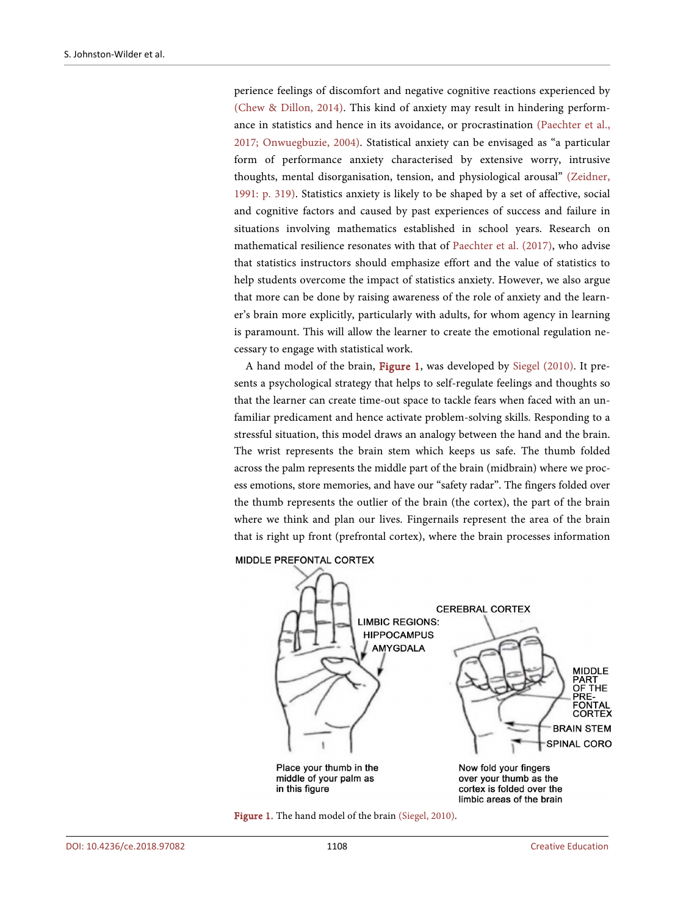perience feelings of discomfort and negative cognitive reactions experienced by (Chew & Dillon, 2014). This kind of anxiety may result in hindering performance in statistics and hence in its avoidance, or procrastination (Paechter et al., 2017; Onwuegbuzie, 2004). Statistical anxiety can be envisaged as "a particular form of performance anxiety characterised by extensive worry, intrusive thoughts, mental disorganisation, tension, and physiological arousal" (Zeidner, 1991: p. 319). Statistics anxiety is likely to be shaped by a set of affective, social and cognitive factors and caused by past experiences of success and failure in situations involving mathematics established in school years. Research on mathematical resilience resonates with that of Paechter et al. (2017), who advise that statistics instructors should emphasize effort and the value of statistics to help students overcome the impact of statistics anxiety. However, we also argue that more can be done by raising awareness of the role of anxiety and the learner's brain more explicitly, particularly with adults, for whom agency in learning is paramount. This will allow the learner to create the emotional regulation necessary to engage with statistical work.

A hand model of the brain, Figure 1, was developed by Siegel (2010). It presents a psychological strategy that helps to self-regulate feelings and thoughts so that the learner can create time-out space to tackle fears when faced with an unfamiliar predicament and hence activate problem-solving skills. Responding to a stressful situation, this model draws an analogy between the hand and the brain. The wrist represents the brain stem which keeps us safe. The thumb folded across the palm represents the middle part of the brain (midbrain) where we process emotions, store memories, and have our "safety radar". The fingers folded over the thumb represents the outlier of the brain (the cortex), the part of the brain where we think and plan our lives. Fingernails represent the area of the brain that is right up front (prefrontal cortex), where the brain processes information



#### MIDDLE PREFONTAL CORTEX

Figure 1. The hand model of the brain (Siegel, 2010).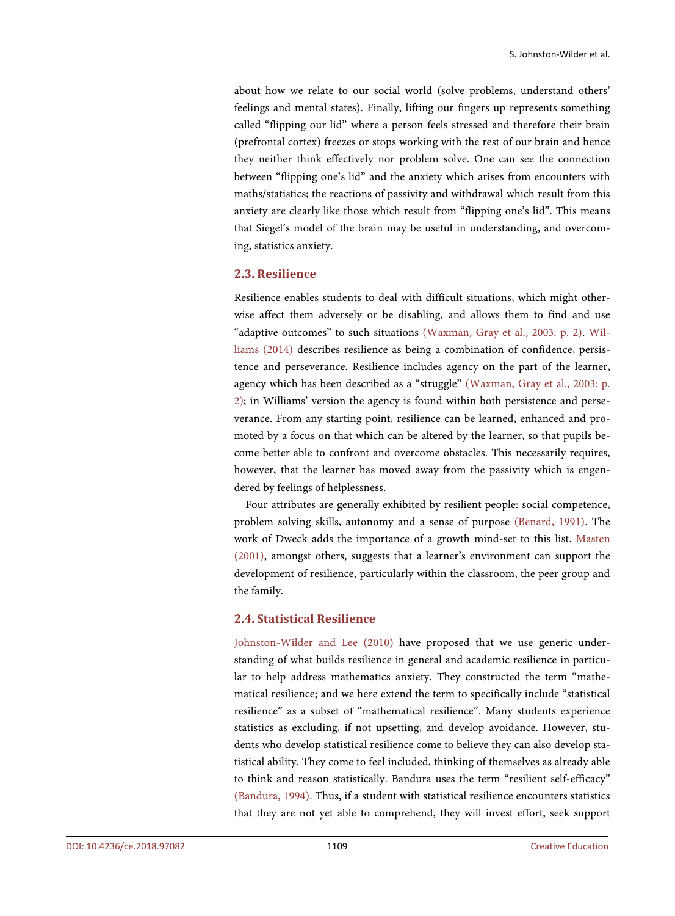about how we relate to our social world (solve problems, understand others' feelings and mental states). Finally, lifting our fingers up represents something called "flipping our lid" where a person feels stressed and therefore their brain (prefrontal cortex) freezes or stops working with the rest of our brain and hence they neither think effectively nor problem solve. One can see the connection between "flipping one's lid" and the anxiety which arises from encounters with maths/statistics; the reactions of passivity and withdrawal which result from this anxiety are clearly like those which result from "flipping one's lid". This means that Siegel's model of the brain may be useful in understanding, and overcoming, statistics anxiety.

## **2.3. Resilience**

Resilience enables students to deal with difficult situations, which might otherwise affect them adversely or be disabling, and allows them to find and use "adaptive outcomes" to such situations (Waxman, Gray et al., 2003: p. 2). Williams (2014) describes resilience as being a combination of confidence, persistence and perseverance. Resilience includes agency on the part of the learner, agency which has been described as a "struggle" (Waxman, Gray et al., 2003: p. 2); in Williams' version the agency is found within both persistence and perseverance. From any starting point, resilience can be learned, enhanced and promoted by a focus on that which can be altered by the learner, so that pupils become better able to confront and overcome obstacles. This necessarily requires, however, that the learner has moved away from the passivity which is engendered by feelings of helplessness.

Four attributes are generally exhibited by resilient people: social competence, problem solving skills, autonomy and a sense of purpose (Benard, 1991). The work of Dweck adds the importance of a growth mind-set to this list. Masten (2001), amongst others, suggests that a learner's environment can support the development of resilience, particularly within the classroom, the peer group and the family.

#### **2.4. Statistical Resilience**

Johnston-Wilder and Lee (2010) have proposed that we use generic understanding of what builds resilience in general and academic resilience in particular to help address mathematics anxiety. They constructed the term "mathematical resilience; and we here extend the term to specifically include "statistical resilience" as a subset of "mathematical resilience". Many students experience statistics as excluding, if not upsetting, and develop avoidance. However, students who develop statistical resilience come to believe they can also develop statistical ability. They come to feel included, thinking of themselves as already able to think and reason statistically. Bandura uses the term "resilient self-efficacy" (Bandura, 1994). Thus, if a student with statistical resilience encounters statistics that they are not yet able to comprehend, they will invest effort, seek support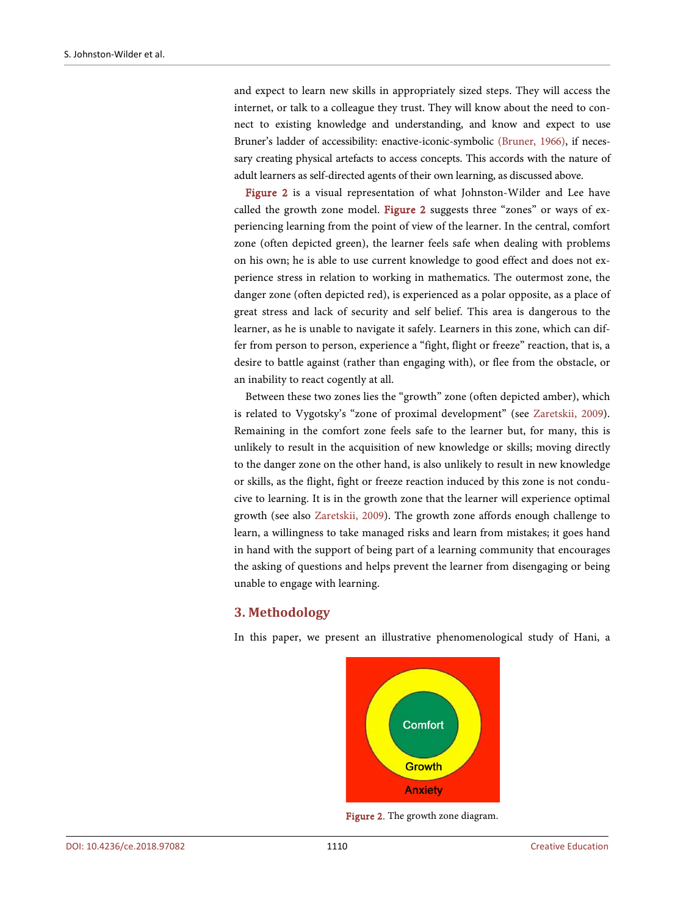and expect to learn new skills in appropriately sized steps. They will access the internet, or talk to a colleague they trust. They will know about the need to connect to existing knowledge and understanding, and know and expect to use Bruner's ladder of accessibility: enactive-iconic-symbolic (Bruner, 1966), if necessary creating physical artefacts to access concepts. This accords with the nature of adult learners as self-directed agents of their own learning, as discussed above.

Figure 2 is a visual representation of what Johnston-Wilder and Lee have called the growth zone model. Figure 2 suggests three "zones" or ways of experiencing learning from the point of view of the learner. In the central, comfort zone (often depicted green), the learner feels safe when dealing with problems on his own; he is able to use current knowledge to good effect and does not experience stress in relation to working in mathematics. The outermost zone, the danger zone (often depicted red), is experienced as a polar opposite, as a place of great stress and lack of security and self belief. This area is dangerous to the learner, as he is unable to navigate it safely. Learners in this zone, which can differ from person to person, experience a "fight, flight or freeze" reaction, that is, a desire to battle against (rather than engaging with), or flee from the obstacle, or an inability to react cogently at all.

Between these two zones lies the "growth" zone (often depicted amber), which is related to Vygotsky's "zone of proximal development" (see Zaretskii, 2009). Remaining in the comfort zone feels safe to the learner but, for many, this is unlikely to result in the acquisition of new knowledge or skills; moving directly to the danger zone on the other hand, is also unlikely to result in new knowledge or skills, as the flight, fight or freeze reaction induced by this zone is not conducive to learning. It is in the growth zone that the learner will experience optimal growth (see also Zaretskii, 2009). The growth zone affords enough challenge to learn, a willingness to take managed risks and learn from mistakes; it goes hand in hand with the support of being part of a learning community that encourages the asking of questions and helps prevent the learner from disengaging or being unable to engage with learning.

## **3. Methodology**

In this paper, we present an illustrative phenomenological study of Hani, a



Figure 2. The growth zone diagram.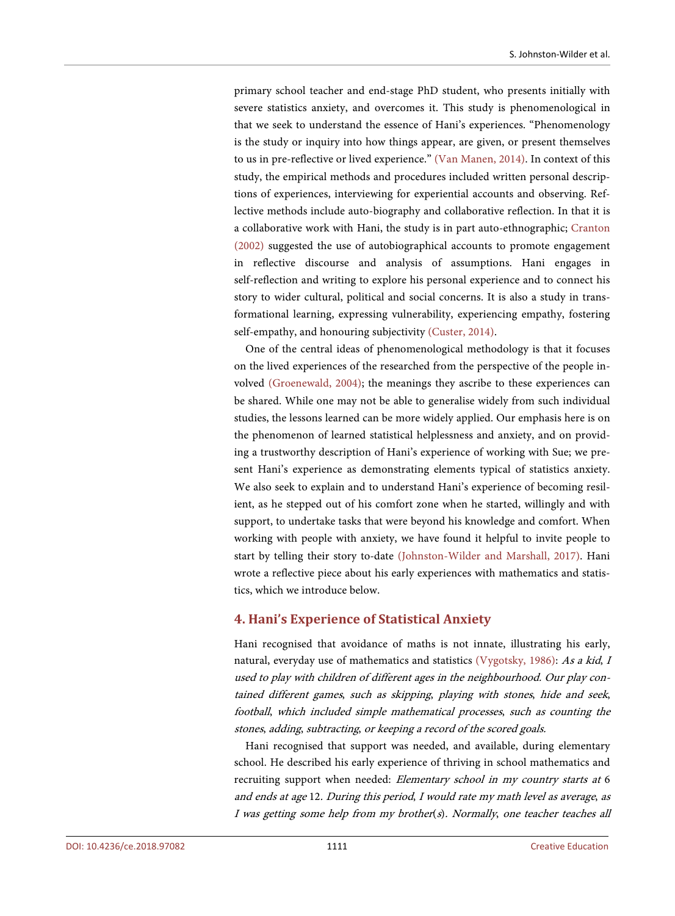primary school teacher and end-stage PhD student, who presents initially with severe statistics anxiety, and overcomes it. This study is phenomenological in that we seek to understand the essence of Hani's experiences. "Phenomenology is the study or inquiry into how things appear, are given, or present themselves to us in pre-reflective or lived experience." (Van Manen, 2014). In context of this study, the empirical methods and procedures included written personal descriptions of experiences, interviewing for experiential accounts and observing. Reflective methods include auto-biography and collaborative reflection. In that it is a collaborative work with Hani, the study is in part auto-ethnographic; Cranton (2002) suggested the use of autobiographical accounts to promote engagement in reflective discourse and analysis of assumptions. Hani engages in self-reflection and writing to explore his personal experience and to connect his story to wider cultural, political and social concerns. It is also a study in transformational learning, expressing vulnerability, experiencing empathy, fostering self-empathy, and honouring subjectivity (Custer, 2014).

One of the central ideas of phenomenological methodology is that it focuses on the lived experiences of the researched from the perspective of the people involved (Groenewald, 2004); the meanings they ascribe to these experiences can be shared. While one may not be able to generalise widely from such individual studies, the lessons learned can be more widely applied. Our emphasis here is on the phenomenon of learned statistical helplessness and anxiety, and on providing a trustworthy description of Hani's experience of working with Sue; we present Hani's experience as demonstrating elements typical of statistics anxiety. We also seek to explain and to understand Hani's experience of becoming resilient, as he stepped out of his comfort zone when he started, willingly and with support, to undertake tasks that were beyond his knowledge and comfort. When working with people with anxiety, we have found it helpful to invite people to start by telling their story to-date (Johnston-Wilder and Marshall, 2017). Hani wrote a reflective piece about his early experiences with mathematics and statistics, which we introduce below.

## **4. Hani's Experience of Statistical Anxiety**

Hani recognised that avoidance of maths is not innate, illustrating his early, natural, everyday use of mathematics and statistics (Vygotsky, 1986): As a kid, I used to play with children of different ages in the neighbourhood. Our play contained different games, such as skipping, playing with stones, hide and seek, football, which included simple mathematical processes, such as counting the stones, adding, subtracting, or keeping a record of the scored goals.

Hani recognised that support was needed, and available, during elementary school. He described his early experience of thriving in school mathematics and recruiting support when needed: Elementary school in my country starts at 6 and ends at age 12. During this period, I would rate my math level as average, as I was getting some help from my brother(s). Normally, one teacher teaches all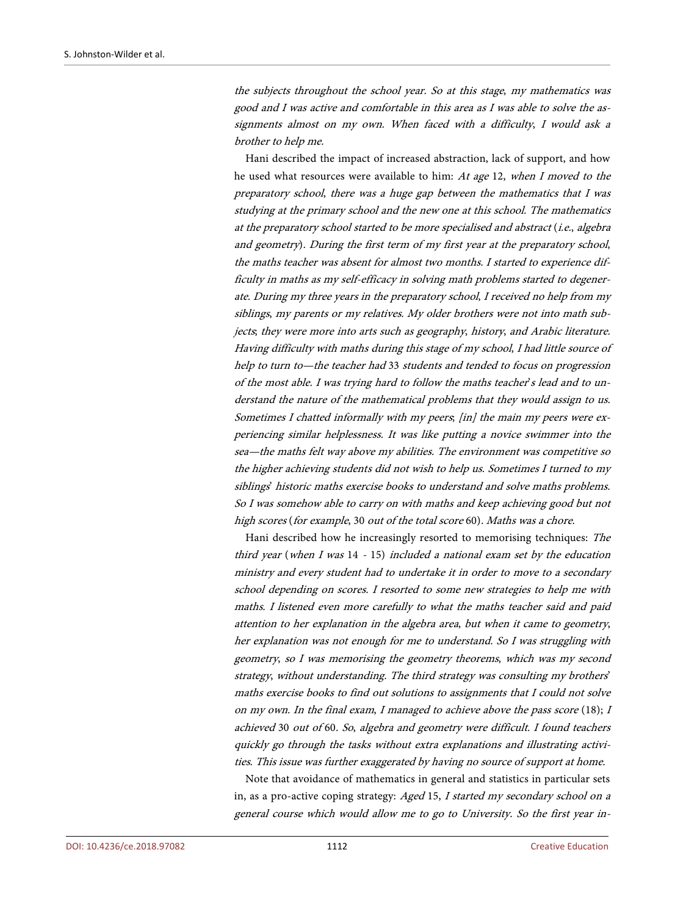the subjects throughout the school year. So at this stage, my mathematics was good and I was active and comfortable in this area as I was able to solve the assignments almost on my own. When faced with a difficulty, I would ask a brother to help me.

Hani described the impact of increased abstraction, lack of support, and how he used what resources were available to him: At age 12, when I moved to the preparatory school, there was a huge gap between the mathematics that I was studying at the primary school and the new one at this school. The mathematics at the preparatory school started to be more specialised and abstract (i.e., algebra and geometry). During the first term of my first year at the preparatory school, the maths teacher was absent for almost two months. I started to experience difficulty in maths as my self-efficacy in solving math problems started to degenerate. During my three years in the preparatory school, I received no help from my siblings, my parents or my relatives. My older brothers were not into math subjects; they were more into arts such as geography, history, and Arabic literature. Having difficulty with maths during this stage of my school, I had little source of help to turn to—the teacher had 33 students and tended to focus on progression of the most able. I was trying hard to follow the maths teacher's lead and to understand the nature of the mathematical problems that they would assign to us. Sometimes I chatted informally with my peers; [in] the main my peers were experiencing similar helplessness. It was like putting a novice swimmer into the sea—the maths felt way above my abilities. The environment was competitive so the higher achieving students did not wish to help us. Sometimes I turned to my siblings' historic maths exercise books to understand and solve maths problems. So I was somehow able to carry on with maths and keep achieving good but not high scores (for example, 30 out of the total score 60). Maths was a chore.

Hani described how he increasingly resorted to memorising techniques: The third year (when I was 14 - 15) included a national exam set by the education ministry and every student had to undertake it in order to move to a secondary school depending on scores. I resorted to some new strategies to help me with maths. I listened even more carefully to what the maths teacher said and paid attention to her explanation in the algebra area, but when it came to geometry, her explanation was not enough for me to understand. So I was struggling with geometry, so I was memorising the geometry theorems, which was my second strategy, without understanding. The third strategy was consulting my brothers' maths exercise books to find out solutions to assignments that I could not solve on my own. In the final exam, <sup>I</sup> managed to achieve above the pass score (18); <sup>I</sup> achieved 30 out of 60. So, algebra and geometry were difficult. I found teachers quickly go through the tasks without extra explanations and illustrating activities. This issue was further exaggerated by having no source of support at home.

Note that avoidance of mathematics in general and statistics in particular sets in, as a pro-active coping strategy: Aged 15, I started my secondary school on a general course which would allow me to go to University. So the first year in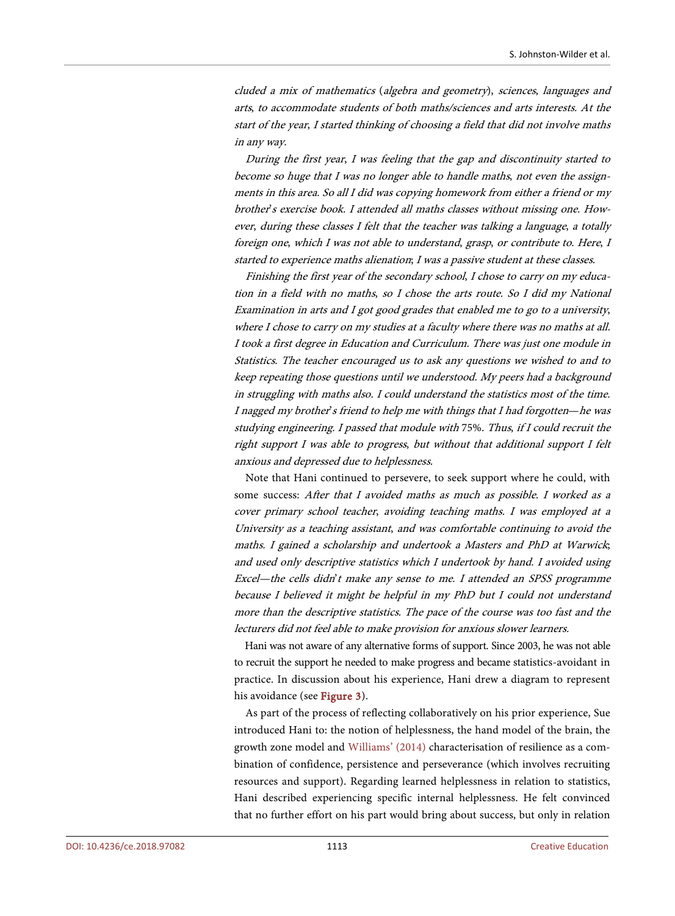cluded a mix of mathematics (algebra and geometry), sciences, languages and arts, to accommodate students of both maths/sciences and arts interests. At the start of the year, I started thinking of choosing a field that did not involve maths in any way.

During the first year, I was feeling that the gap and discontinuity started to become so huge that I was no longer able to handle maths, not even the assignments in this area. So all I did was copying homework from either a friend or my brother's exercise book. I attended all maths classes without missing one. However, during these classes I felt that the teacher was talking a language, a totally foreign one, which I was not able to understand, grasp, or contribute to. Here, <sup>I</sup> started to experience maths alienation; I was a passive student at these classes.

Finishing the first year of the secondary school, I chose to carry on my education in a field with no maths, so I chose the arts route. So I did my National Examination in arts and I got good grades that enabled me to go to a university, where I chose to carry on my studies at a faculty where there was no maths at all. I took a first degree in Education and Curriculum. There was just one module in Statistics. The teacher encouraged us to ask any questions we wished to and to keep repeating those questions until we understood. My peers had a background in struggling with maths also. I could understand the statistics most of the time. I nagged my brother's friend to help me with things that I had forgotten—he was studying engineering. I passed that module with 75%. Thus, if I could recruit the right support I was able to progress, but without that additional support I felt anxious and depressed due to helplessness.

Note that Hani continued to persevere, to seek support where he could, with some success: After that I avoided maths as much as possible. I worked as a cover primary school teacher, avoiding teaching maths. I was employed at a University as a teaching assistant, and was comfortable continuing to avoid the maths. I gained a scholarship and undertook a Masters and PhD at Warwick; and used only descriptive statistics which I undertook by hand. I avoided using Excel—the cells didn't make any sense to me. I attended an SPSS programme because I believed it might be helpful in my PhD but I could not understand more than the descriptive statistics. The pace of the course was too fast and the lecturers did not feel able to make provision for anxious slower learners.

Hani was not aware of any alternative forms of support. Since 2003, he was not able to recruit the support he needed to make progress and became statistics-avoidant in practice. In discussion about his experience, Hani drew a diagram to represent his avoidance (see Figure 3).

As part of the process of reflecting collaboratively on his prior experience, Sue introduced Hani to: the notion of helplessness, the hand model of the brain, the growth zone model and Williams' (2014) characterisation of resilience as a combination of confidence, persistence and perseverance (which involves recruiting resources and support). Regarding learned helplessness in relation to statistics, Hani described experiencing specific internal helplessness. He felt convinced that no further effort on his part would bring about success, but only in relation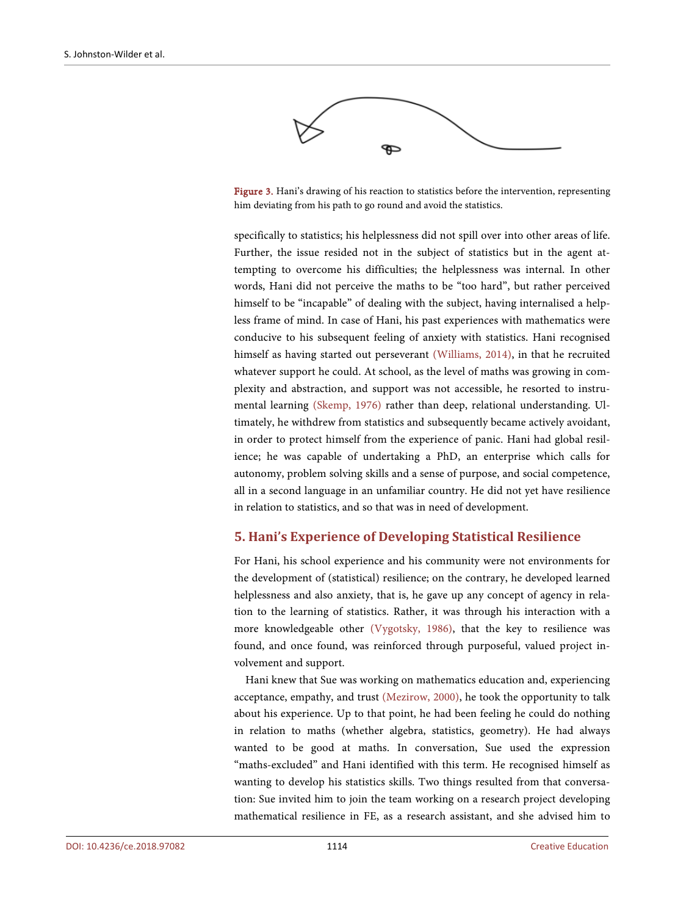

Figure 3. Hani's drawing of his reaction to statistics before the intervention, representing him deviating from his path to go round and avoid the statistics.

specifically to statistics; his helplessness did not spill over into other areas of life. Further, the issue resided not in the subject of statistics but in the agent attempting to overcome his difficulties; the helplessness was internal. In other words, Hani did not perceive the maths to be "too hard", but rather perceived himself to be "incapable" of dealing with the subject, having internalised a helpless frame of mind. In case of Hani, his past experiences with mathematics were conducive to his subsequent feeling of anxiety with statistics. Hani recognised himself as having started out perseverant (Williams, 2014), in that he recruited whatever support he could. At school, as the level of maths was growing in complexity and abstraction, and support was not accessible, he resorted to instrumental learning (Skemp, 1976) rather than deep, relational understanding. Ultimately, he withdrew from statistics and subsequently became actively avoidant, in order to protect himself from the experience of panic. Hani had global resilience; he was capable of undertaking a PhD, an enterprise which calls for autonomy, problem solving skills and a sense of purpose, and social competence, all in a second language in an unfamiliar country. He did not yet have resilience in relation to statistics, and so that was in need of development.

## **5. Hani's Experience of Developing Statistical Resilience**

For Hani, his school experience and his community were not environments for the development of (statistical) resilience; on the contrary, he developed learned helplessness and also anxiety, that is, he gave up any concept of agency in relation to the learning of statistics. Rather, it was through his interaction with a more knowledgeable other (Vygotsky, 1986), that the key to resilience was found, and once found, was reinforced through purposeful, valued project involvement and support.

Hani knew that Sue was working on mathematics education and, experiencing acceptance, empathy, and trust (Mezirow, 2000), he took the opportunity to talk about his experience. Up to that point, he had been feeling he could do nothing in relation to maths (whether algebra, statistics, geometry). He had always wanted to be good at maths. In conversation, Sue used the expression "maths-excluded" and Hani identified with this term. He recognised himself as wanting to develop his statistics skills. Two things resulted from that conversation: Sue invited him to join the team working on a research project developing mathematical resilience in FE, as a research assistant, and she advised him to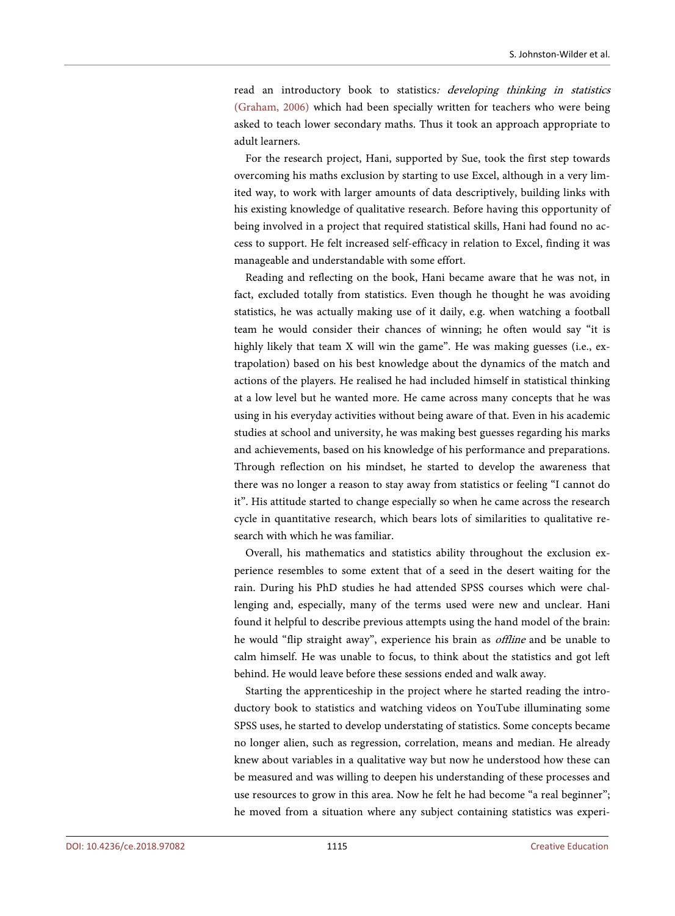read an introductory book to statistics: developing thinking in statistics (Graham, 2006) which had been specially written for teachers who were being asked to teach lower secondary maths. Thus it took an approach appropriate to adult learners.

For the research project, Hani, supported by Sue, took the first step towards overcoming his maths exclusion by starting to use Excel, although in a very limited way, to work with larger amounts of data descriptively, building links with his existing knowledge of qualitative research. Before having this opportunity of being involved in a project that required statistical skills, Hani had found no access to support. He felt increased self-efficacy in relation to Excel, finding it was manageable and understandable with some effort.

Reading and reflecting on the book, Hani became aware that he was not, in fact, excluded totally from statistics. Even though he thought he was avoiding statistics, he was actually making use of it daily, e.g. when watching a football team he would consider their chances of winning; he often would say "it is highly likely that team X will win the game". He was making guesses (i.e., extrapolation) based on his best knowledge about the dynamics of the match and actions of the players. He realised he had included himself in statistical thinking at a low level but he wanted more. He came across many concepts that he was using in his everyday activities without being aware of that. Even in his academic studies at school and university, he was making best guesses regarding his marks and achievements, based on his knowledge of his performance and preparations. Through reflection on his mindset, he started to develop the awareness that there was no longer a reason to stay away from statistics or feeling "I cannot do it". His attitude started to change especially so when he came across the research cycle in quantitative research, which bears lots of similarities to qualitative research with which he was familiar.

Overall, his mathematics and statistics ability throughout the exclusion experience resembles to some extent that of a seed in the desert waiting for the rain. During his PhD studies he had attended SPSS courses which were challenging and, especially, many of the terms used were new and unclear. Hani found it helpful to describe previous attempts using the hand model of the brain: he would "flip straight away", experience his brain as offline and be unable to calm himself. He was unable to focus, to think about the statistics and got left behind. He would leave before these sessions ended and walk away.

Starting the apprenticeship in the project where he started reading the introductory book to statistics and watching videos on YouTube illuminating some SPSS uses, he started to develop understating of statistics. Some concepts became no longer alien, such as regression, correlation, means and median. He already knew about variables in a qualitative way but now he understood how these can be measured and was willing to deepen his understanding of these processes and use resources to grow in this area. Now he felt he had become "a real beginner"; he moved from a situation where any subject containing statistics was experi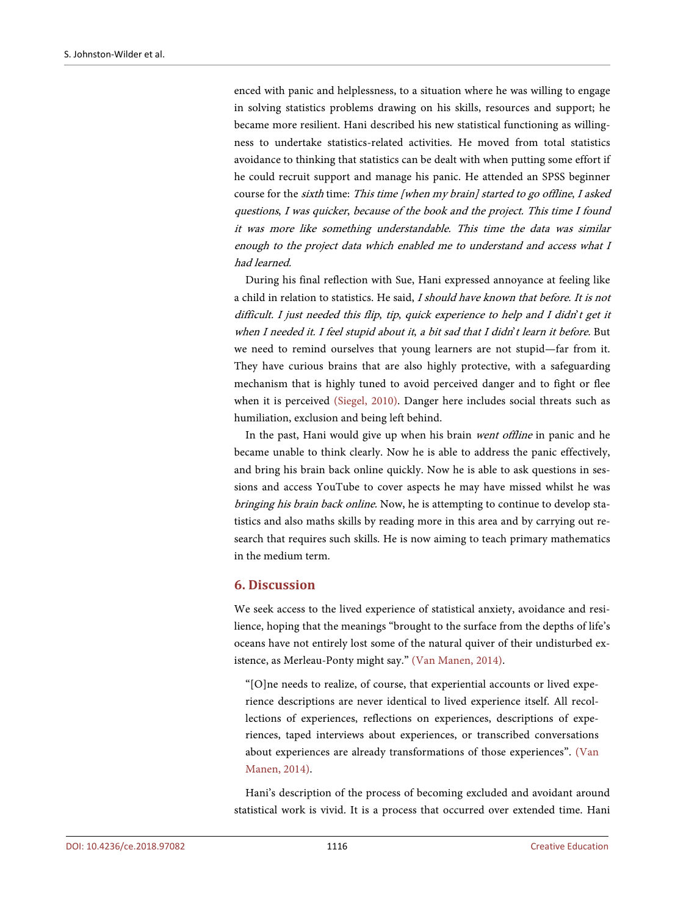enced with panic and helplessness, to a situation where he was willing to engage in solving statistics problems drawing on his skills, resources and support; he became more resilient. Hani described his new statistical functioning as willingness to undertake statistics-related activities. He moved from total statistics avoidance to thinking that statistics can be dealt with when putting some effort if he could recruit support and manage his panic. He attended an SPSS beginner course for the sixth time: This time [when my brain] started to go offline, I asked questions, I was quicker, because of the book and the project. This time I found it was more like something understandable. This time the data was similar enough to the project data which enabled me to understand and access what I had learned.

During his final reflection with Sue, Hani expressed annoyance at feeling like a child in relation to statistics. He said, I should have known that before. It is not difficult. I just needed this flip, tip, quick experience to help and I didn't get it when I needed it. I feel stupid about it, a bit sad that I didn't learn it before. But we need to remind ourselves that young learners are not stupid—far from it. They have curious brains that are also highly protective, with a safeguarding mechanism that is highly tuned to avoid perceived danger and to fight or flee when it is perceived (Siegel, 2010). Danger here includes social threats such as humiliation, exclusion and being left behind.

In the past, Hani would give up when his brain went offline in panic and he became unable to think clearly. Now he is able to address the panic effectively, and bring his brain back online quickly. Now he is able to ask questions in sessions and access YouTube to cover aspects he may have missed whilst he was bringing his brain back online. Now, he is attempting to continue to develop statistics and also maths skills by reading more in this area and by carrying out research that requires such skills. He is now aiming to teach primary mathematics in the medium term.

## **6. Discussion**

We seek access to the lived experience of statistical anxiety, avoidance and resilience, hoping that the meanings "brought to the surface from the depths of life's oceans have not entirely lost some of the natural quiver of their undisturbed existence, as Merleau-Ponty might say." (Van Manen, 2014).

"[O]ne needs to realize, of course, that experiential accounts or lived experience descriptions are never identical to lived experience itself. All recollections of experiences, reflections on experiences, descriptions of experiences, taped interviews about experiences, or transcribed conversations about experiences are already transformations of those experiences". (Van Manen, 2014).

Hani's description of the process of becoming excluded and avoidant around statistical work is vivid. It is a process that occurred over extended time. Hani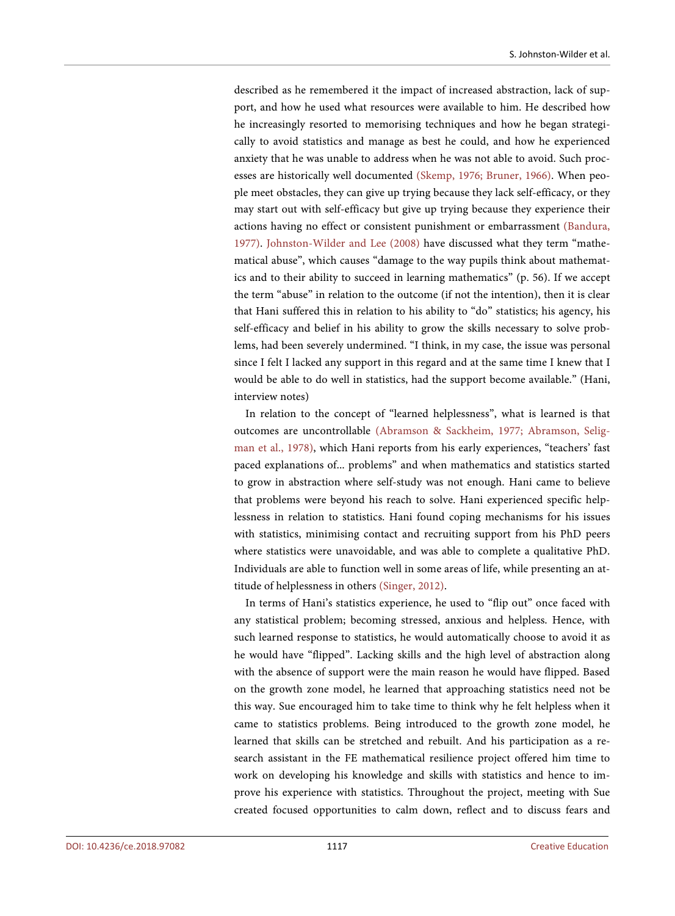described as he remembered it the impact of increased abstraction, lack of support, and how he used what resources were available to him. He described how he increasingly resorted to memorising techniques and how he began strategically to avoid statistics and manage as best he could, and how he experienced anxiety that he was unable to address when he was not able to avoid. Such processes are historically well documented (Skemp, 1976; Bruner, 1966). When people meet obstacles, they can give up trying because they lack self-efficacy, or they may start out with self-efficacy but give up trying because they experience their actions having no effect or consistent punishment or embarrassment (Bandura, 1977). Johnston-Wilder and Lee (2008) have discussed what they term "mathematical abuse", which causes "damage to the way pupils think about mathematics and to their ability to succeed in learning mathematics" (p. 56). If we accept the term "abuse" in relation to the outcome (if not the intention), then it is clear that Hani suffered this in relation to his ability to "do" statistics; his agency, his self-efficacy and belief in his ability to grow the skills necessary to solve problems, had been severely undermined. "I think, in my case, the issue was personal since I felt I lacked any support in this regard and at the same time I knew that I would be able to do well in statistics, had the support become available." (Hani, interview notes)

In relation to the concept of "learned helplessness", what is learned is that outcomes are uncontrollable (Abramson & Sackheim, 1977; Abramson, Seligman et al., 1978), which Hani reports from his early experiences, "teachers' fast paced explanations of... problems" and when mathematics and statistics started to grow in abstraction where self-study was not enough. Hani came to believe that problems were beyond his reach to solve. Hani experienced specific helplessness in relation to statistics. Hani found coping mechanisms for his issues with statistics, minimising contact and recruiting support from his PhD peers where statistics were unavoidable, and was able to complete a qualitative PhD. Individuals are able to function well in some areas of life, while presenting an attitude of helplessness in others (Singer, 2012).

In terms of Hani's statistics experience, he used to "flip out" once faced with any statistical problem; becoming stressed, anxious and helpless. Hence, with such learned response to statistics, he would automatically choose to avoid it as he would have "flipped". Lacking skills and the high level of abstraction along with the absence of support were the main reason he would have flipped. Based on the growth zone model, he learned that approaching statistics need not be this way. Sue encouraged him to take time to think why he felt helpless when it came to statistics problems. Being introduced to the growth zone model, he learned that skills can be stretched and rebuilt. And his participation as a research assistant in the FE mathematical resilience project offered him time to work on developing his knowledge and skills with statistics and hence to improve his experience with statistics. Throughout the project, meeting with Sue created focused opportunities to calm down, reflect and to discuss fears and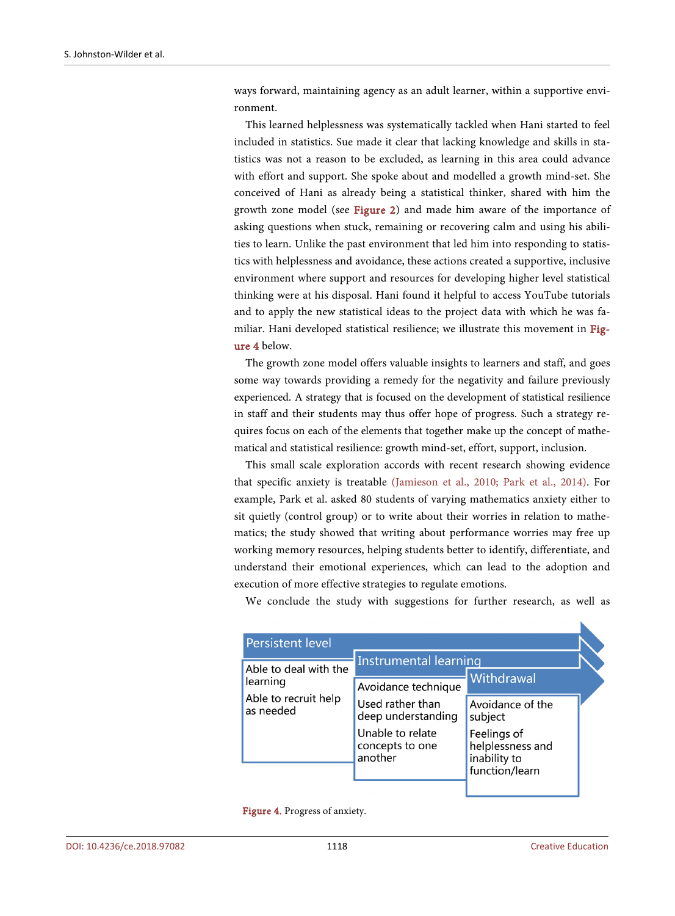ways forward, maintaining agency as an adult learner, within a supportive environment.

This learned helplessness was systematically tackled when Hani started to feel included in statistics. Sue made it clear that lacking knowledge and skills in statistics was not a reason to be excluded, as learning in this area could advance with effort and support. She spoke about and modelled a growth mind-set. She conceived of Hani as already being a statistical thinker, shared with him the growth zone model (see Figure 2) and made him aware of the importance of asking questions when stuck, remaining or recovering calm and using his abilities to learn. Unlike the past environment that led him into responding to statistics with helplessness and avoidance, these actions created a supportive, inclusive environment where support and resources for developing higher level statistical thinking were at his disposal. Hani found it helpful to access YouTube tutorials and to apply the new statistical ideas to the project data with which he was familiar. Hani developed statistical resilience; we illustrate this movement in Figure 4 below.

The growth zone model offers valuable insights to learners and staff, and goes some way towards providing a remedy for the negativity and failure previously experienced. A strategy that is focused on the development of statistical resilience in staff and their students may thus offer hope of progress. Such a strategy requires focus on each of the elements that together make up the concept of mathematical and statistical resilience: growth mind-set, effort, support, inclusion.

This small scale exploration accords with recent research showing evidence that specific anxiety is treatable (Jamieson et al., 2010; Park et al., 2014). For example, Park et al. asked 80 students of varying mathematics anxiety either to sit quietly (control group) or to write about their worries in relation to mathematics; the study showed that writing about performance worries may free up working memory resources, helping students better to identify, differentiate, and understand their emotional experiences, which can lead to the adoption and execution of more effective strategies to regulate emotions.

We conclude the study with suggestions for further research, as well as

| <b>Persistent level</b>                                                |                                                |                                                 |  |
|------------------------------------------------------------------------|------------------------------------------------|-------------------------------------------------|--|
| Able to deal with the<br>learning<br>Able to recruit help<br>as needed | <b>Instrumental learning</b>                   |                                                 |  |
|                                                                        | Avoidance technique                            | Withdrawal                                      |  |
|                                                                        | Used rather than<br>deep understanding         | Avoidance of the<br>subject                     |  |
|                                                                        | Unable to relate<br>concepts to one<br>another | Feelings of<br>helplessness and<br>inability to |  |
|                                                                        |                                                | function/learn                                  |  |

Figure 4. Progress of anxiety.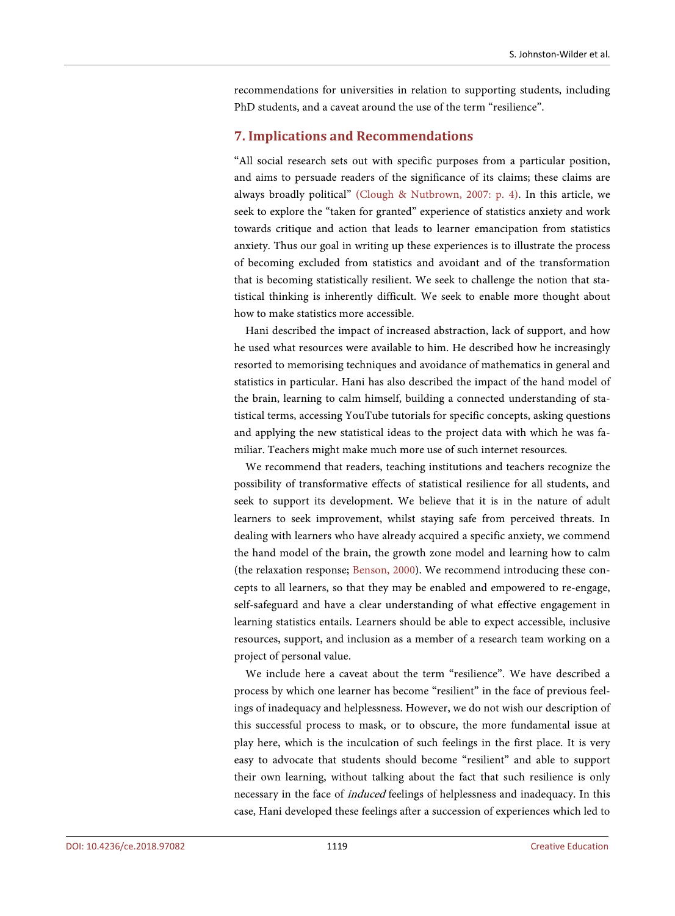recommendations for universities in relation to supporting students, including PhD students, and a caveat around the use of the term "resilience".

## **7. Implications and Recommendations**

"All social research sets out with specific purposes from a particular position, and aims to persuade readers of the significance of its claims; these claims are always broadly political" (Clough & Nutbrown, 2007: p. 4). In this article, we seek to explore the "taken for granted" experience of statistics anxiety and work towards critique and action that leads to learner emancipation from statistics anxiety. Thus our goal in writing up these experiences is to illustrate the process of becoming excluded from statistics and avoidant and of the transformation that is becoming statistically resilient. We seek to challenge the notion that statistical thinking is inherently difficult. We seek to enable more thought about how to make statistics more accessible.

Hani described the impact of increased abstraction, lack of support, and how he used what resources were available to him. He described how he increasingly resorted to memorising techniques and avoidance of mathematics in general and statistics in particular. Hani has also described the impact of the hand model of the brain, learning to calm himself, building a connected understanding of statistical terms, accessing YouTube tutorials for specific concepts, asking questions and applying the new statistical ideas to the project data with which he was familiar. Teachers might make much more use of such internet resources.

We recommend that readers, teaching institutions and teachers recognize the possibility of transformative effects of statistical resilience for all students, and seek to support its development. We believe that it is in the nature of adult learners to seek improvement, whilst staying safe from perceived threats. In dealing with learners who have already acquired a specific anxiety, we commend the hand model of the brain, the growth zone model and learning how to calm (the relaxation response; Benson, 2000). We recommend introducing these concepts to all learners, so that they may be enabled and empowered to re-engage, self-safeguard and have a clear understanding of what effective engagement in learning statistics entails. Learners should be able to expect accessible, inclusive resources, support, and inclusion as a member of a research team working on a project of personal value.

We include here a caveat about the term "resilience". We have described a process by which one learner has become "resilient" in the face of previous feelings of inadequacy and helplessness. However, we do not wish our description of this successful process to mask, or to obscure, the more fundamental issue at play here, which is the inculcation of such feelings in the first place. It is very easy to advocate that students should become "resilient" and able to support their own learning, without talking about the fact that such resilience is only necessary in the face of induced feelings of helplessness and inadequacy. In this case, Hani developed these feelings after a succession of experiences which led to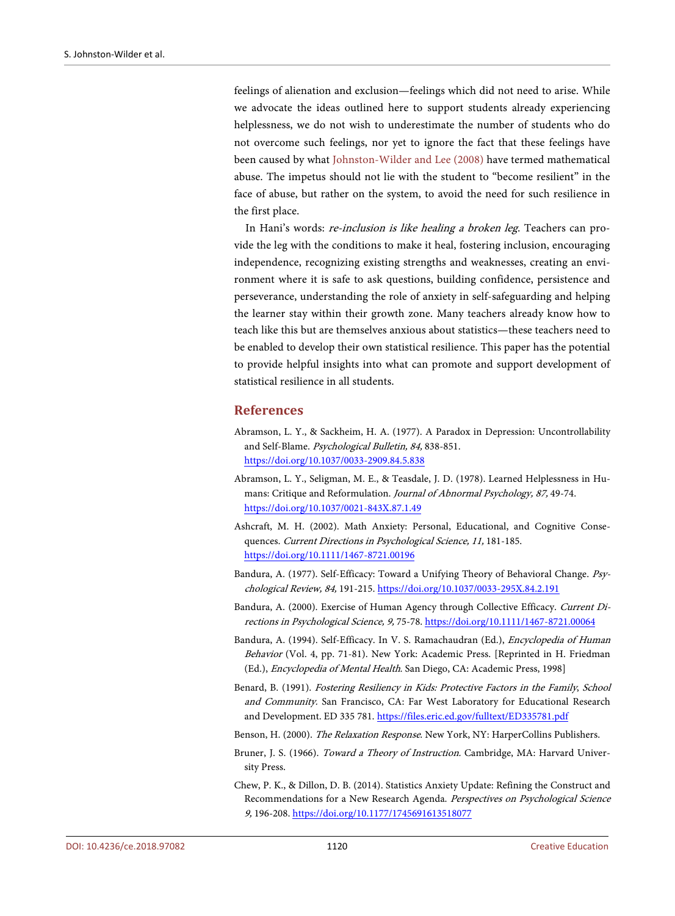feelings of alienation and exclusion—feelings which did not need to arise. While we advocate the ideas outlined here to support students already experiencing helplessness, we do not wish to underestimate the number of students who do not overcome such feelings, nor yet to ignore the fact that these feelings have been caused by what Johnston-Wilder and Lee (2008) have termed mathematical abuse. The impetus should not lie with the student to "become resilient" in the face of abuse, but rather on the system, to avoid the need for such resilience in the first place.

In Hani's words: *re-inclusion is like healing a broken leg*. Teachers can provide the leg with the conditions to make it heal, fostering inclusion, encouraging independence, recognizing existing strengths and weaknesses, creating an environment where it is safe to ask questions, building confidence, persistence and perseverance, understanding the role of anxiety in self-safeguarding and helping the learner stay within their growth zone. Many teachers already know how to teach like this but are themselves anxious about statistics—these teachers need to be enabled to develop their own statistical resilience. This paper has the potential to provide helpful insights into what can promote and support development of statistical resilience in all students.

## **References**

- Abramson, L. Y., & Sackheim, H. A. (1977). A Paradox in Depression: Uncontrollability and Self-Blame. Psychological Bulletin, 84, 838-851. https://doi.org/10.1037/0033-2909.84.5.838
- Abramson, L. Y., Seligman, M. E., & Teasdale, J. D. (1978). Learned Helplessness in Humans: Critique and Reformulation. Journal of Abnormal Psychology, 87, 49-74. https://doi.org/10.1037/0021-843X.87.1.49
- Ashcraft, M. H. (2002). Math Anxiety: Personal, Educational, and Cognitive Consequences. Current Directions in Psychological Science, 11, 181-185. https://doi.org/10.1111/1467-8721.00196
- Bandura, A. (1977). Self-Efficacy: Toward a Unifying Theory of Behavioral Change. Psychological Review, 84, 191-215. https://doi.org/10.1037/0033-295X.84.2.191
- Bandura, A. (2000). Exercise of Human Agency through Collective Efficacy. Current Directions in Psychological Science, 9, 75-78. https://doi.org/10.1111/1467-8721.00064
- Bandura, A. (1994). Self-Efficacy. In V. S. Ramachaudran (Ed.), Encyclopedia of Human Behavior (Vol. 4, pp. 71-81). New York: Academic Press. [Reprinted in H. Friedman (Ed.), Encyclopedia of Mental Health. San Diego, CA: Academic Press, 1998]
- Benard, B. (1991). Fostering Resiliency in Kids: Protective Factors in the Family, School and Community. San Francisco, CA: Far West Laboratory for Educational Research and Development. ED 335 781. https://files.eric.ed.gov/fulltext/ED335781.pdf
- Benson, H. (2000). The Relaxation Response. New York, NY: HarperCollins Publishers.
- Bruner, J. S. (1966). Toward a Theory of Instruction. Cambridge, MA: Harvard University Press.
- Chew, P. K., & Dillon, D. B. (2014). Statistics Anxiety Update: Refining the Construct and Recommendations for a New Research Agenda. Perspectives on Psychological Science 9, 196-208. https://doi.org/10.1177/1745691613518077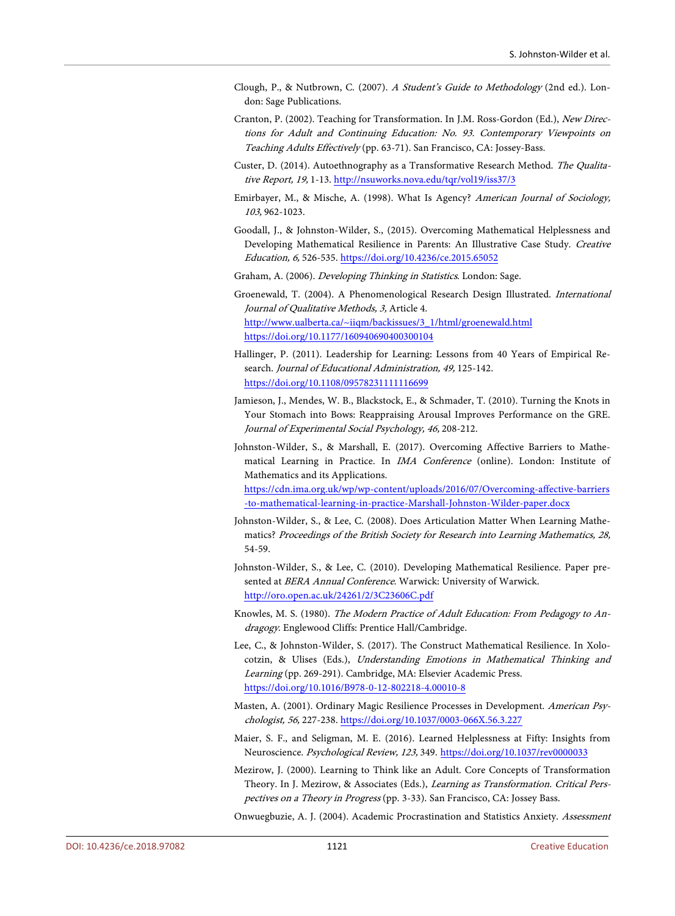- Clough, P., & Nutbrown, C. (2007). A Student's Guide to Methodology (2nd ed.). London: Sage Publications.
- Cranton, P. (2002). Teaching for Transformation. In J.M. Ross-Gordon (Ed.), New Directions for Adult and Continuing Education: No. 93. Contemporary Viewpoints on Teaching Adults Effectively (pp. 63-71). San Francisco, CA: Jossey-Bass.
- Custer, D. (2014). Autoethnography as a Transformative Research Method. The Qualitative Report, 19, 1-13. http://nsuworks.nova.edu/tqr/vol19/iss37/3
- Emirbayer, M., & Mische, A. (1998). What Is Agency? American Journal of Sociology, 103, 962-1023.
- Goodall, J., & Johnston-Wilder, S., (2015). Overcoming Mathematical Helplessness and Developing Mathematical Resilience in Parents: An Illustrative Case Study. Creative Education, 6, 526-535. https://doi.org/10.4236/ce.2015.65052
- Graham, A. (2006). Developing Thinking in Statistics. London: Sage.
- Groenewald, T. (2004). A Phenomenological Research Design Illustrated. International Journal of Qualitative Methods, 3, Article 4. http://www.ualberta.ca/~iiqm/backissues/3\_1/html/groenewald.html https://doi.org/10.1177/160940690400300104
- Hallinger, P. (2011). Leadership for Learning: Lessons from 40 Years of Empirical Research. Journal of Educational Administration, 49, 125-142. https://doi.org/10.1108/09578231111116699
- Jamieson, J., Mendes, W. B., Blackstock, E., & Schmader, T. (2010). Turning the Knots in Your Stomach into Bows: Reappraising Arousal Improves Performance on the GRE. Journal of Experimental Social Psychology, 46, 208-212.
- Johnston-Wilder, S., & Marshall, E. (2017). Overcoming Affective Barriers to Mathematical Learning in Practice. In IMA Conference (online). London: Institute of Mathematics and its Applications.
	- https://cdn.ima.org.uk/wp/wp-content/uploads/2016/07/Overcoming-affective-barriers -to-mathematical-learning-in-practice-Marshall-Johnston-Wilder-paper.docx
- Johnston-Wilder, S., & Lee, C. (2008). Does Articulation Matter When Learning Mathematics? Proceedings of the British Society for Research into Learning Mathematics, 28, 54-59.
- Johnston-Wilder, S., & Lee, C. (2010). Developing Mathematical Resilience. Paper presented at BERA Annual Conference. Warwick: University of Warwick. http://oro.open.ac.uk/24261/2/3C23606C.pdf
- Knowles, M. S. (1980). The Modern Practice of Adult Education: From Pedagogy to Andragogy. Englewood Cliffs: Prentice Hall/Cambridge.
- Lee, C., & Johnston-Wilder, S. (2017). The Construct Mathematical Resilience. In Xolocotzin, & Ulises (Eds.), Understanding Emotions in Mathematical Thinking and Learning (pp. 269-291). Cambridge, MA: Elsevier Academic Press. https://doi.org/10.1016/B978-0-12-802218-4.00010-8
- Masten, A. (2001). Ordinary Magic Resilience Processes in Development. American Psychologist, 56, 227-238. https://doi.org/10.1037/0003-066X.56.3.227
- Maier, S. F., and Seligman, M. E. (2016). Learned Helplessness at Fifty: Insights from Neuroscience. Psychological Review, 123, 349. https://doi.org/10.1037/rev0000033
- Mezirow, J. (2000). Learning to Think like an Adult. Core Concepts of Transformation Theory. In J. Mezirow, & Associates (Eds.), Learning as Transformation. Critical Perspectives on a Theory in Progress (pp. 3-33). San Francisco, CA: Jossey Bass.
- Onwuegbuzie, A. J. (2004). Academic Procrastination and Statistics Anxiety. Assessment